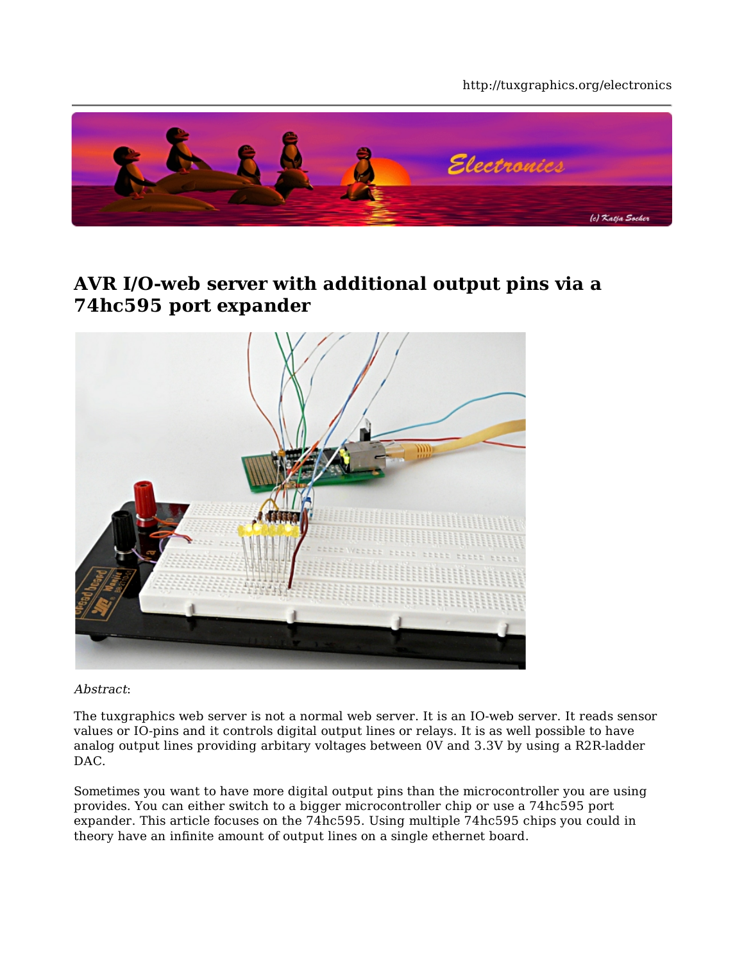#### http://tuxgraphics.org/electronics



## **AVR I/O-web server with additional output pins via a 74hc595 port expander**



Abstract:

The tuxgraphics web server is not a normal web server. It is an IO-web server. It reads sensor values or IO-pins and it controls digital output lines or relays. It is as well possible to have analog output lines providing arbitary voltages between 0V and 3.3V by using a R2R-ladder DAC.

Sometimes you want to have more digital output pins than the microcontroller you are using provides. You can either switch to a bigger microcontroller chip or use a 74hc595 port expander. This article focuses on the 74hc595. Using multiple 74hc595 chips you could in theory have an infinite amount of output lines on a single ethernet board.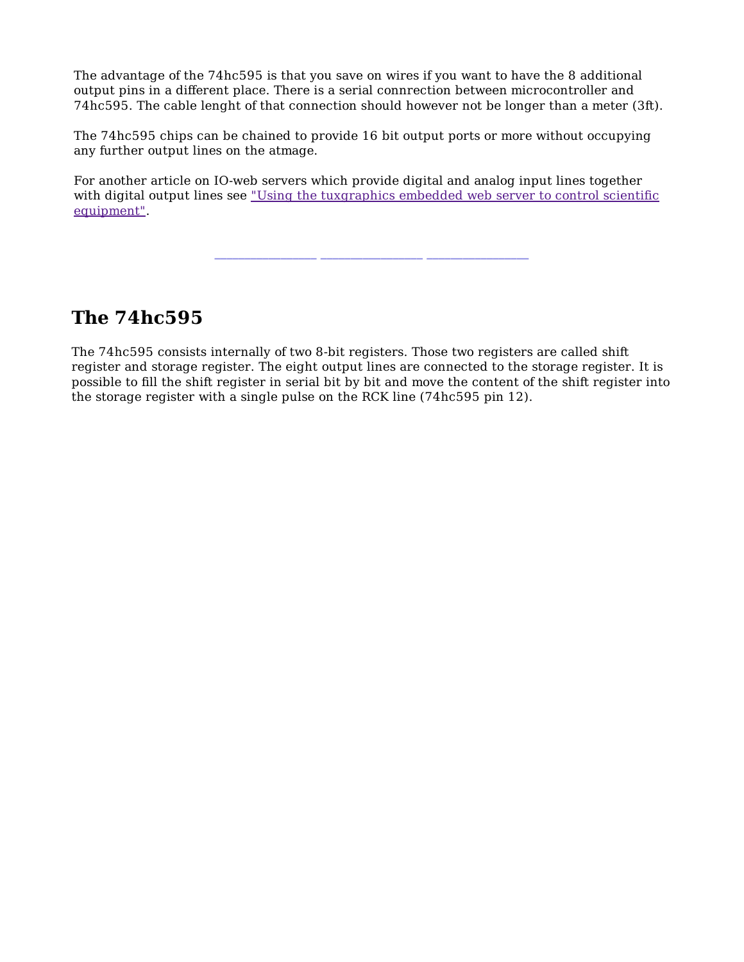The advantage of the 74hc595 is that you save on wires if you want to have the 8 additional output pins in a different place. There is a serial connrection between microcontroller and 74hc595. The cable lenght of that connection should however not be longer than a meter (3ft).

The 74hc595 chips can be chained to provide 16 bit output ports or more without occupying any further output lines on the atmage.

For another article on IO-web servers which provide digital and analog input lines together with digital output lines see "Using the tuxgraphics embedded web server to control scientific equipment".

**\_\_\_\_\_\_\_\_\_\_\_\_\_\_\_\_\_ \_\_\_\_\_\_\_\_\_\_\_\_\_\_\_\_\_ \_\_\_\_\_\_\_\_\_\_\_\_\_\_\_\_\_**

**The 74hc595**

The 74hc595 consists internally of two 8-bit registers. Those two registers are called shift register and storage register. The eight output lines are connected to the storage register. It is possible to fill the shift register in serial bit by bit and move the content of the shift register into the storage register with a single pulse on the RCK line (74hc595 pin 12).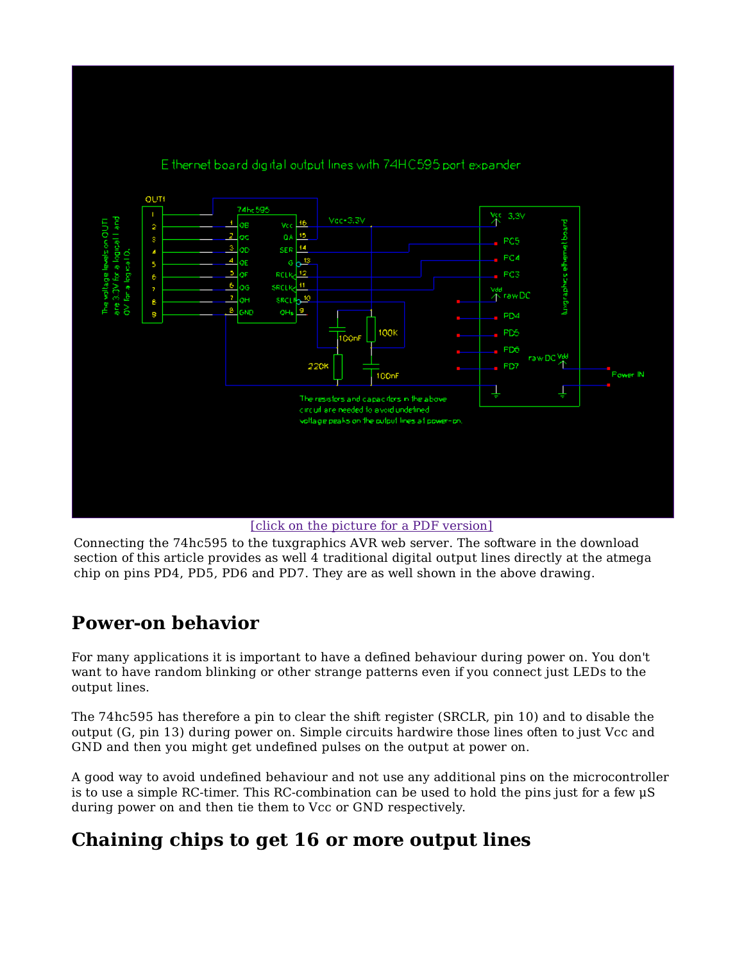

E thernet board digital output lines with 74HC595 port expander.

[click on the picture for a PDF version]

Connecting the 74hc595 to the tuxgraphics AVR web server. The software in the download section of this article provides as well 4 traditional digital output lines directly at the atmega chip on pins PD4, PD5, PD6 and PD7. They are as well shown in the above drawing.

## **Power-on behavior**

For many applications it is important to have a defined behaviour during power on. You don't want to have random blinking or other strange patterns even if you connect just LEDs to the output lines.

The 74hc595 has therefore a pin to clear the shift register (SRCLR, pin 10) and to disable the output (G, pin 13) during power on. Simple circuits hardwire those lines often to just Vcc and GND and then you might get undefined pulses on the output at power on.

A good way to avoid undefined behaviour and not use any additional pins on the microcontroller is to use a simple RC-timer. This RC-combination can be used to hold the pins just for a few μS during power on and then tie them to Vcc or GND respectively.

# **Chaining chips to get 16 or more output lines**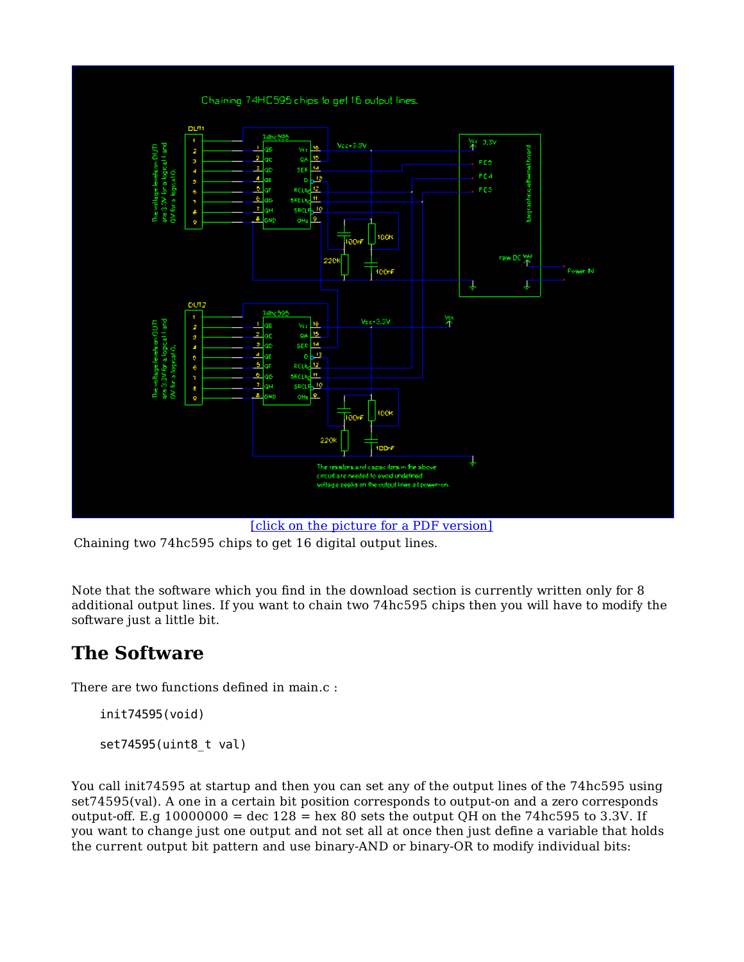

[click on the picture for a PDF version]

Chaining two 74hc595 chips to get 16 digital output lines.

Note that the software which you find in the download section is currently written only for 8 additional output lines. If you want to chain two 74hc595 chips then you will have to modify the software just a little bit.

# **The Software**

There are two functions defined in main.c :

init74595(void)

set74595(uint8\_t val)

You call init74595 at startup and then you can set any of the output lines of the 74hc595 using set74595(val). A one in a certain bit position corresponds to output-on and a zero corresponds output-off. E.g  $10000000 = \text{dec } 128 = \text{hex } 80$  sets the output QH on the 74hc595 to 3.3V. If you want to change just one output and not set all at once then just define a variable that holds the current output bit pattern and use binary-AND or binary-OR to modify individual bits: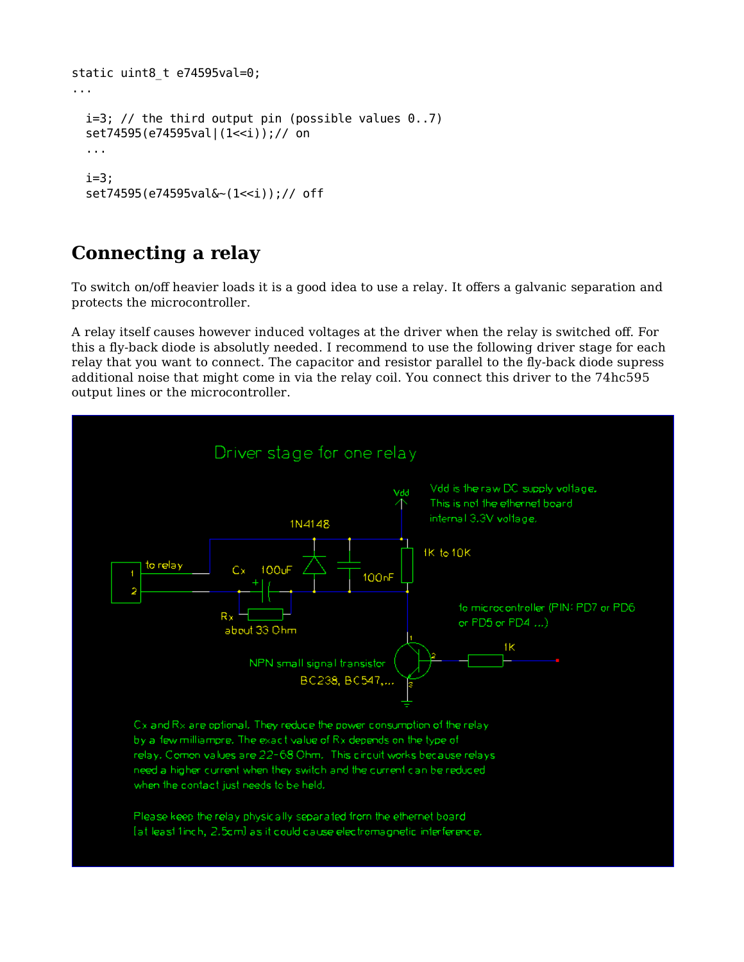```
static uint8_t e74595val=0;
...
 i=3; // the third output pin (possible values 0..7)
  set74595(e74595val|(1<<i));// on
   ...
  i=3;
  set74595(e74595val&~(1<<i));// off
```
## **Connecting a relay**

To switch on/off heavier loads it is a good idea to use a relay. It offers a galvanic separation and protects the microcontroller.

A relay itself causes however induced voltages at the driver when the relay is switched off. For this a fly-back diode is absolutly needed. I recommend to use the following driver stage for each relay that you want to connect. The capacitor and resistor parallel to the fly-back diode supress additional noise that might come in via the relay coil. You connect this driver to the 74hc595 output lines or the microcontroller.

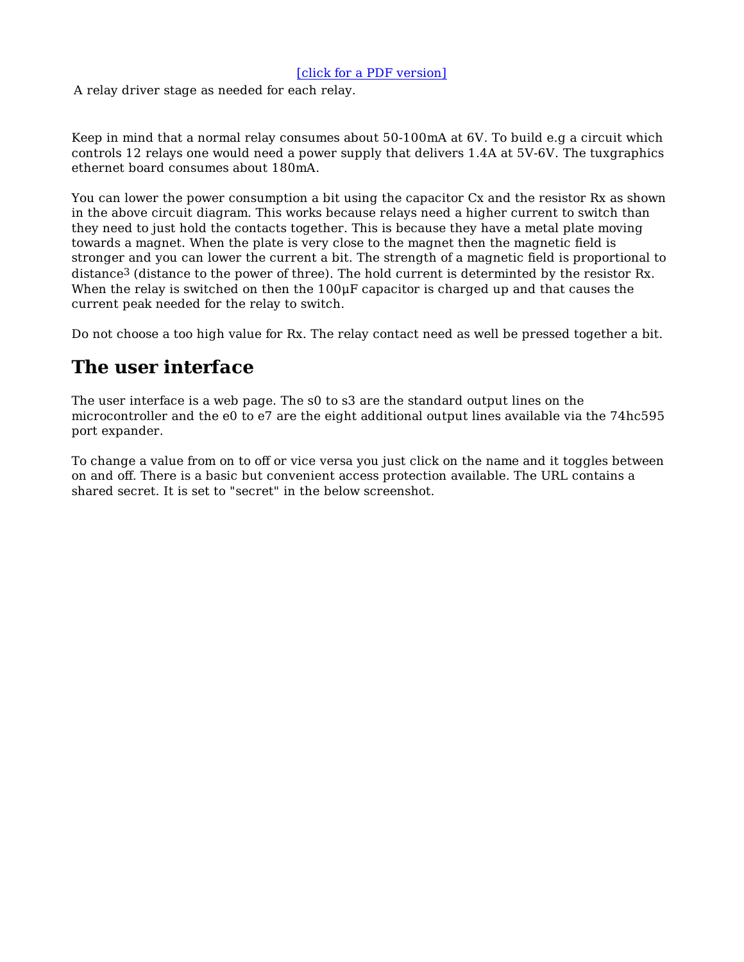### [click for a PDF version]

A relay driver stage as needed for each relay.

Keep in mind that a normal relay consumes about 50-100mA at 6V. To build e.g a circuit which controls 12 relays one would need a power supply that delivers 1.4A at 5V-6V. The tuxgraphics ethernet board consumes about 180mA.

You can lower the power consumption a bit using the capacitor Cx and the resistor Rx as shown in the above circuit diagram. This works because relays need a higher current to switch than they need to just hold the contacts together. This is because they have a metal plate moving towards a magnet. When the plate is very close to the magnet then the magnetic field is stronger and you can lower the current a bit. The strength of a magnetic field is proportional to distance<sup>3</sup> (distance to the power of three). The hold current is determinted by the resistor Rx. When the relay is switched on then the 100<sub>uF</sub> capacitor is charged up and that causes the current peak needed for the relay to switch.

Do not choose a too high value for Rx. The relay contact need as well be pressed together a bit.

# **The user interface**

The user interface is a web page. The s0 to s3 are the standard output lines on the microcontroller and the e0 to e7 are the eight additional output lines available via the 74hc595 port expander.

To change a value from on to off or vice versa you just click on the name and it toggles between on and off. There is a basic but convenient access protection available. The URL contains a shared secret. It is set to "secret" in the below screenshot.